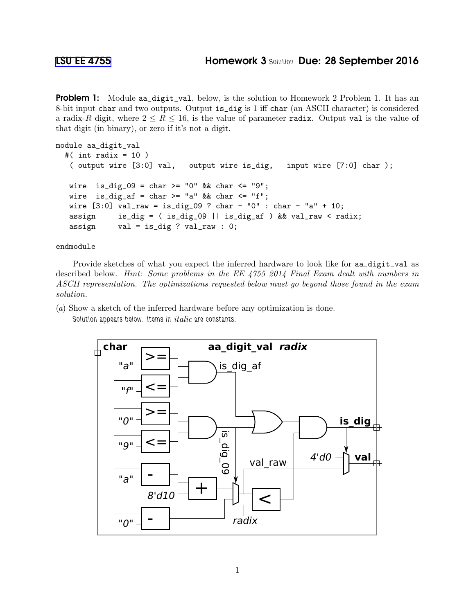**Problem 1:** Module aa\_digit\_val, below, is the solution to Homework 2 Problem 1. It has an 8-bit input char and two outputs. Output is\_dig is 1 iff char (an ASCII character) is considered a radix-R digit, where  $2 \leq R \leq 16$ , is the value of parameter radix. Output val is the value of that digit (in binary), or zero if it's not a digit.

```
module aa_digit_val
#( int radix = 10 )
 ( output wire [3:0] val, output wire is_dig, input wire [7:0] char );
wire is\_dig_09 = char >= "0" && char <= "9";
wire is_dig_af = char >= "a" && char <= "f";
wire [3:0] val_raw = is_dig_09 ? char - "0" : char - "a" + 10;
assign is_dig = ( is_dig_09 || is_dig_af ) && val_raw < radix;
assign val = is\_dig ? val\_raw : 0;
```
## endmodule

Provide sketches of what you expect the inferred hardware to look like for aa\_digit\_val as described below. *Hint: Some problems in the EE 4755 2014 Final Exam dealt with numbers in ASCII representation. The optimizations requested below must go beyond those found in the exam solution.*

(*a*) Show a sketch of the inferred hardware before any optimization is done. Solution appears below. Items in *italic* are constants.

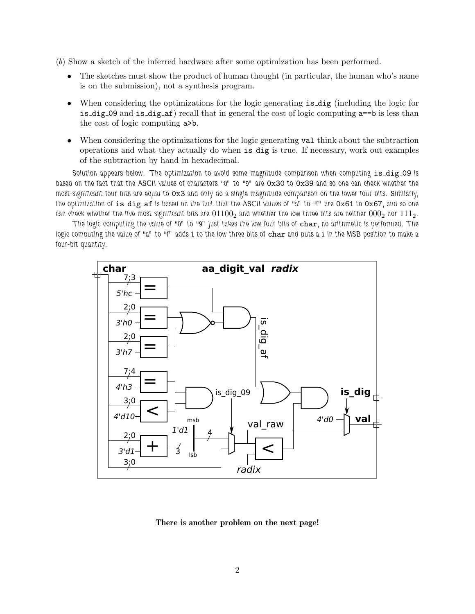(*b*) Show a sketch of the inferred hardware after some optimization has been performed.

- The sketches must show the product of human thought (in particular, the human who's name is on the submission), not a synthesis program.
- When considering the optimizations for the logic generating is  $\text{diag}$  (including the logic for is dig 09 and is dig af) recall that in general the cost of logic computing a==b is less than the cost of logic computing a>b.
- When considering the optimizations for the logic generating val think about the subtraction operations and what they actually do when is dig is true. If necessary, work out examples of the subtraction by hand in hexadecimal.

Solution appears below. The optimization to avoid some magnitude comparison when computing is  $\text{dig}_0$  is based on the fact that the ASCII values of characters "0" to "9" are 0x30 to 0x39 and so one can check whether the most-significant four bits are equal to 0x3 and only do a single magnitude comparison on the lower four bits. Similarly, the optimization of  $is\_dig\_af$  is based on the fact that the ASCII values of "a" to "f" are  $0x61$  to  $0x67$ , and so one can check whether the five most significant bits are  $01100<sub>2</sub>$  and whether the low three bits are neither  $000<sub>2</sub>$  nor  $111<sub>2</sub>$ .

The logic computing the value of "0" to "9" just takes the low four bits of char, no arithmetic is performed. The logic computing the value of "a" to "f" adds 1 to the low three bits of char and puts a 1 in the MSB position to make a four-bit quantity.



There is another problem on the next page!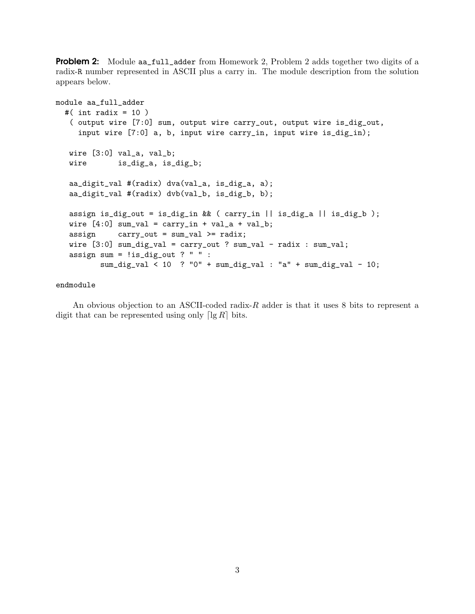**Problem 2:** Module aa\_full\_adder from Homework 2, Problem 2 adds together two digits of a radix-R number represented in ASCII plus a carry in. The module description from the solution appears below.

```
module aa_full_adder
#( int radix = 10 )
 ( output wire [7:0] sum, output wire carry_out, output wire is_dig_out,
  input wire [7:0] a, b, input wire carry_in, input wire is_dig_in);
wire [3:0] val_a, val_b;
wire is_dig_a, is_dig_b;
aa_digit_val #(radix) dva(val_a, is_dig_a, a);
aa_digit_val #(radix) dvb(val_b, is_dig_b, b);
assign is_dig_out = is_dig_in && ( carry_in || is_dig_a || is_dig_b );
wire [4:0] sum_val = carry_in + val_a + val_b;
assign carry_out = sum_val \geq radix;wire [3:0] sum_dig_val = carry_out ? sum_val - radix : sum_val;
assign sum = !is_dig_out ? " " :
       sum_dig_val < 10 ? "0" + sum_dig_val : "a" + sum_dig_val - 10;
```
## endmodule

An obvious objection to an ASCII-coded radix- $R$  adder is that it uses 8 bits to represent a digit that can be represented using only  $\lceil \lg R \rceil$  bits.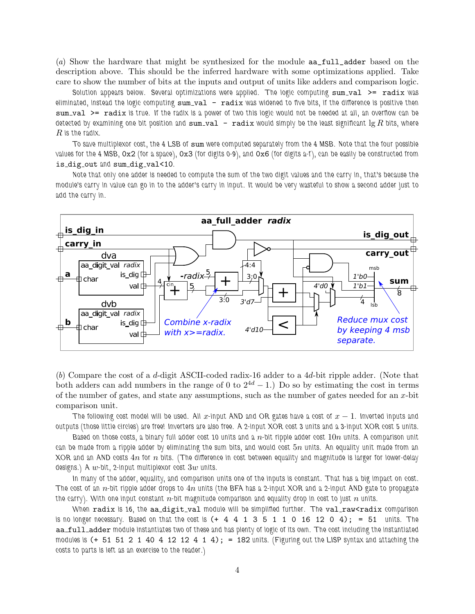(*a*) Show the hardware that might be synthesized for the module aa\_full\_adder based on the description above. This should be the inferred hardware with some optimizations applied. Take care to show the number of bits at the inputs and output of units like adders and comparison logic.

Solution appears below. Several optimizations were applied. The logic computing sum  $val$  >= radix was eliminated, instead the logic computing  $sum_val - radix$  was widened to five bits, if the difference is positive then sum\_val >= radix is true. If the radix is a power of two this logic would not be needed at all, an overflow can be detected by examining one bit position and sum\_val - radix would simply be the least significant  $\lg R$  bits, where  $R$  is the radix.

To save multiplexor cost, the 4 LSB of sum were computed separately from the 4 MSB. Note that the four possible values for the 4 MSB, 0x2 (for a space), 0x3 (for digits 0-9), and 0x6 (for digits a-f), can be easily be constructed from is dig out and sum dig val<10.

Note that only one adder is needed to compute the sum of the two digit values and the carry in, that's because the module's carry in value can go in to the adder's carry in input. It would be very wasteful to show a second adder just to add the carry in.



(*b*) Compare the cost of a d-digit ASCII-coded radix-16 adder to a 4d-bit ripple adder. (Note that both adders can add numbers in the range of 0 to  $2^{4d} - 1$ .) Do so by estimating the cost in terms of the number of gates, and state any assumptions, such as the number of gates needed for an x-bit comparison unit.

The following cost model will be used. All x-input AND and OR gates have a cost of  $x - 1$ . Inverted inputs and outputs (those little circles) are free! Inverters are also free. A 2-input XOR cost 3 units and a 3-input XOR cost 5 units.

Based on those costs, a binary full adder cost 10 units and a  $n$ -bit ripple adder cost  $10n$  units. A comparison unit can be made from a ripple adder by eliminating the sum bits, and would cost  $5n$  units. An equality unit made from an XOR and an AND costs  $4n$  for n bits. (The difference in cost between equality and magnitude is larger for lower-delay designs.) A  $w$ -bit, 2-input multiplexor cost  $3w$  units.

In many of the adder, equality, and comparison units one of the inputs is constant. That has a big impact on cost. The cost of an n-bit ripple adder drops to  $4n$  units (the BFA has a 2-input XOR and a 2-input AND gate to propagate the carry). With one input constant  $n$ -bit magnitude comparison and equality drop in cost to just  $n$  units.

When radix is 16, the aa\_digit\_val module will be simplified further. The val\_raw<radix comparison is no longer necessary. Based on that the cost is  $(+ 4 4 1 3 5 1 1 0 16 12 0 4)$ ; = 51 units. The aa full adder module instantiates two of these and has plenty of logic of its own. The cost including the instantiated modules is  $(+ 51 51 2 1 40 4 12 12 4 1 4);$  = 182 units. (Figuring out the LISP syntax and attaching the costs to parts is left as an exercise to the reader.)